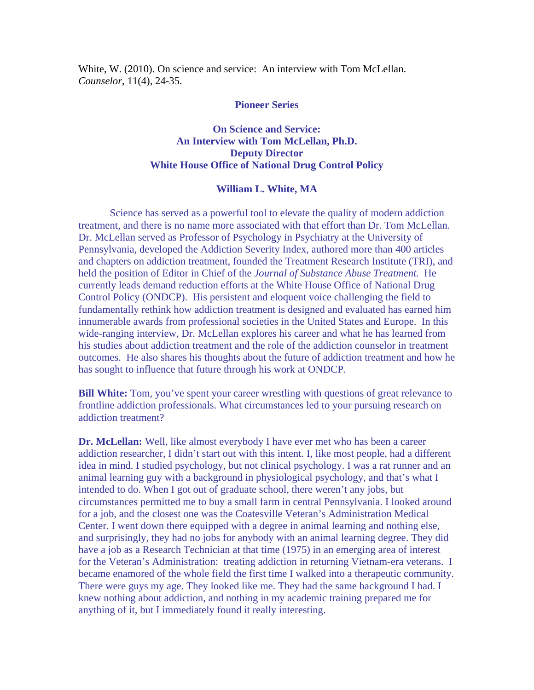White, W. (2010). On science and service: An interview with Tom McLellan. *Counselor*, 11(4), 24-35.

## **Pioneer Series**

## **On Science and Service: An Interview with Tom McLellan, Ph.D. Deputy Director White House Office of National Drug Control Policy**

## **William L. White, MA**

Science has served as a powerful tool to elevate the quality of modern addiction treatment, and there is no name more associated with that effort than Dr. Tom McLellan. Dr. McLellan served as Professor of Psychology in Psychiatry at the University of Pennsylvania, developed the Addiction Severity Index, authored more than 400 articles and chapters on addiction treatment, founded the Treatment Research Institute (TRI), and held the position of Editor in Chief of the *Journal of Substance Abuse Treatment.* He currently leads demand reduction efforts at the White House Office of National Drug Control Policy (ONDCP). His persistent and eloquent voice challenging the field to fundamentally rethink how addiction treatment is designed and evaluated has earned him innumerable awards from professional societies in the United States and Europe. In this wide-ranging interview, Dr. McLellan explores his career and what he has learned from his studies about addiction treatment and the role of the addiction counselor in treatment outcomes. He also shares his thoughts about the future of addiction treatment and how he has sought to influence that future through his work at ONDCP.

**Bill White:** Tom, you've spent your career wrestling with questions of great relevance to frontline addiction professionals. What circumstances led to your pursuing research on addiction treatment?

**Dr. McLellan:** Well, like almost everybody I have ever met who has been a career addiction researcher, I didn't start out with this intent. I, like most people, had a different idea in mind. I studied psychology, but not clinical psychology. I was a rat runner and an animal learning guy with a background in physiological psychology, and that's what I intended to do. When I got out of graduate school, there weren't any jobs, but circumstances permitted me to buy a small farm in central Pennsylvania. I looked around for a job, and the closest one was the Coatesville Veteran's Administration Medical Center. I went down there equipped with a degree in animal learning and nothing else, and surprisingly, they had no jobs for anybody with an animal learning degree. They did have a job as a Research Technician at that time (1975) in an emerging area of interest for the Veteran's Administration: treating addiction in returning Vietnam-era veterans. I became enamored of the whole field the first time I walked into a therapeutic community. There were guys my age. They looked like me. They had the same background I had. I knew nothing about addiction, and nothing in my academic training prepared me for anything of it, but I immediately found it really interesting.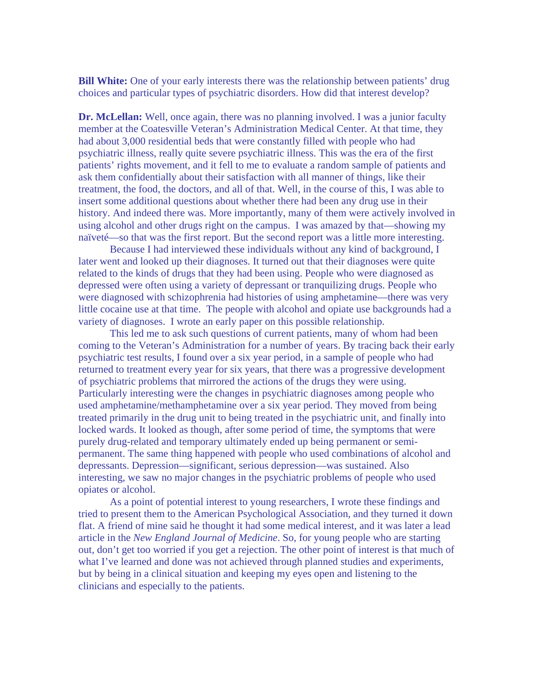**Bill White:** One of your early interests there was the relationship between patients' drug choices and particular types of psychiatric disorders. How did that interest develop?

**Dr. McLellan:** Well, once again, there was no planning involved. I was a junior faculty member at the Coatesville Veteran's Administration Medical Center. At that time, they had about 3,000 residential beds that were constantly filled with people who had psychiatric illness, really quite severe psychiatric illness. This was the era of the first patients' rights movement, and it fell to me to evaluate a random sample of patients and ask them confidentially about their satisfaction with all manner of things, like their treatment, the food, the doctors, and all of that. Well, in the course of this, I was able to insert some additional questions about whether there had been any drug use in their history. And indeed there was. More importantly, many of them were actively involved in using alcohol and other drugs right on the campus. I was amazed by that—showing my naïveté—so that was the first report. But the second report was a little more interesting.

 Because I had interviewed these individuals without any kind of background, I later went and looked up their diagnoses. It turned out that their diagnoses were quite related to the kinds of drugs that they had been using. People who were diagnosed as depressed were often using a variety of depressant or tranquilizing drugs. People who were diagnosed with schizophrenia had histories of using amphetamine—there was very little cocaine use at that time. The people with alcohol and opiate use backgrounds had a variety of diagnoses. I wrote an early paper on this possible relationship.

 This led me to ask such questions of current patients, many of whom had been coming to the Veteran's Administration for a number of years. By tracing back their early psychiatric test results, I found over a six year period, in a sample of people who had returned to treatment every year for six years, that there was a progressive development of psychiatric problems that mirrored the actions of the drugs they were using. Particularly interesting were the changes in psychiatric diagnoses among people who used amphetamine/methamphetamine over a six year period. They moved from being treated primarily in the drug unit to being treated in the psychiatric unit, and finally into locked wards. It looked as though, after some period of time, the symptoms that were purely drug-related and temporary ultimately ended up being permanent or semipermanent. The same thing happened with people who used combinations of alcohol and depressants. Depression—significant, serious depression—was sustained. Also interesting, we saw no major changes in the psychiatric problems of people who used opiates or alcohol.

 As a point of potential interest to young researchers, I wrote these findings and tried to present them to the American Psychological Association, and they turned it down flat. A friend of mine said he thought it had some medical interest, and it was later a lead article in the *New England Journal of Medicine*. So, for young people who are starting out, don't get too worried if you get a rejection. The other point of interest is that much of what I've learned and done was not achieved through planned studies and experiments, but by being in a clinical situation and keeping my eyes open and listening to the clinicians and especially to the patients.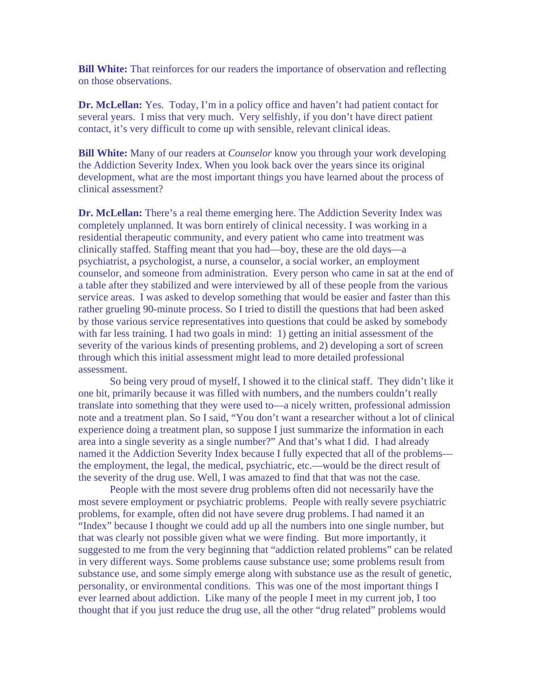**Bill White:** That reinforces for our readers the importance of observation and reflecting on those observations.

**Dr. McLellan:** Yes. Today, I'm in a policy office and haven't had patient contact for several years. I miss that very much. Very selfishly, if you don't have direct patient contact, it's very difficult to come up with sensible, relevant clinical ideas.

**Bill White:** Many of our readers at *Counselor* know you through your work developing the Addiction Severity Index. When you look back over the years since its original development, what are the most important things you have learned about the process of clinical assessment?

**Dr. McLellan:** There's a real theme emerging here. The Addiction Severity Index was completely unplanned. It was born entirely of clinical necessity. I was working in a residential therapeutic community, and every patient who came into treatment was clinically staffed. Staffing meant that you had—boy, these are the old days—a psychiatrist, a psychologist, a nurse, a counselor, a social worker, an employment counselor, and someone from administration. Every person who came in sat at the end of a table after they stabilized and were interviewed by all of these people from the various service areas. I was asked to develop something that would be easier and faster than this rather grueling 90-minute process. So I tried to distill the questions that had been asked by those various service representatives into questions that could be asked by somebody with far less training. I had two goals in mind: 1) getting an initial assessment of the severity of the various kinds of presenting problems, and 2) developing a sort of screen through which this initial assessment might lead to more detailed professional assessment.

 So being very proud of myself, I showed it to the clinical staff. They didn't like it one bit, primarily because it was filled with numbers, and the numbers couldn't really translate into something that they were used to—a nicely written, professional admission note and a treatment plan. So I said, "You don't want a researcher without a lot of clinical experience doing a treatment plan, so suppose I just summarize the information in each area into a single severity as a single number?" And that's what I did. I had already named it the Addiction Severity Index because I fully expected that all of the problems the employment, the legal, the medical, psychiatric, etc.—would be the direct result of the severity of the drug use. Well, I was amazed to find that that was not the case.

 People with the most severe drug problems often did not necessarily have the most severe employment or psychiatric problems. People with really severe psychiatric problems, for example, often did not have severe drug problems. I had named it an "Index" because I thought we could add up all the numbers into one single number, but that was clearly not possible given what we were finding. But more importantly, it suggested to me from the very beginning that "addiction related problems" can be related in very different ways. Some problems cause substance use; some problems result from substance use, and some simply emerge along with substance use as the result of genetic, personality, or environmental conditions. This was one of the most important things I ever learned about addiction. Like many of the people I meet in my current job, I too thought that if you just reduce the drug use, all the other "drug related" problems would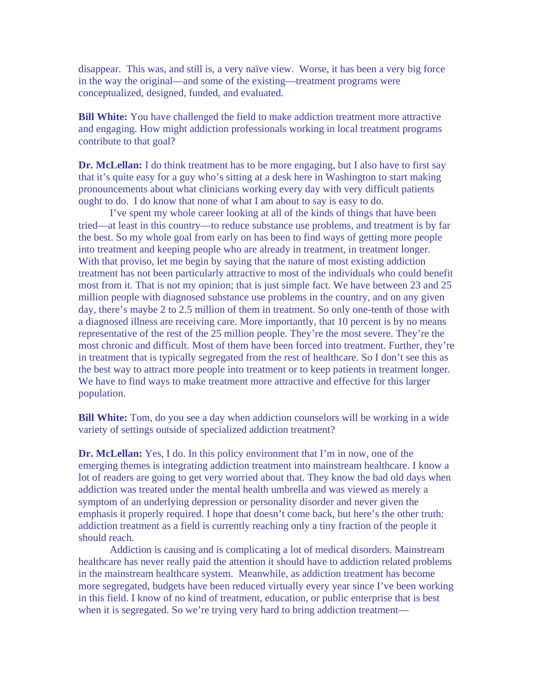disappear. This was, and still is, a very naïve view. Worse, it has been a very big force in the way the original—and some of the existing—treatment programs were conceptualized, designed, funded, and evaluated.

**Bill White:** You have challenged the field to make addiction treatment more attractive and engaging. How might addiction professionals working in local treatment programs contribute to that goal?

**Dr. McLellan:** I do think treatment has to be more engaging, but I also have to first say that it's quite easy for a guy who's sitting at a desk here in Washington to start making pronouncements about what clinicians working every day with very difficult patients ought to do. I do know that none of what I am about to say is easy to do.

 I've spent my whole career looking at all of the kinds of things that have been tried—at least in this country—to reduce substance use problems, and treatment is by far the best. So my whole goal from early on has been to find ways of getting more people into treatment and keeping people who are already in treatment, in treatment longer. With that proviso, let me begin by saying that the nature of most existing addiction treatment has not been particularly attractive to most of the individuals who could benefit most from it. That is not my opinion; that is just simple fact. We have between 23 and 25 million people with diagnosed substance use problems in the country, and on any given day, there's maybe 2 to 2.5 million of them in treatment. So only one-tenth of those with a diagnosed illness are receiving care. More importantly, that 10 percent is by no means representative of the rest of the 25 million people. They're the most severe. They're the most chronic and difficult. Most of them have been forced into treatment. Further, they're in treatment that is typically segregated from the rest of healthcare. So I don't see this as the best way to attract more people into treatment or to keep patients in treatment longer. We have to find ways to make treatment more attractive and effective for this larger population.

**Bill White:** Tom, do you see a day when addiction counselors will be working in a wide variety of settings outside of specialized addiction treatment?

**Dr. McLellan:** Yes, I do. In this policy environment that I'm in now, one of the emerging themes is integrating addiction treatment into mainstream healthcare. I know a lot of readers are going to get very worried about that. They know the bad old days when addiction was treated under the mental health umbrella and was viewed as merely a symptom of an underlying depression or personality disorder and never given the emphasis it properly required. I hope that doesn't come back, but here's the other truth: addiction treatment as a field is currently reaching only a tiny fraction of the people it should reach.

 Addiction is causing and is complicating a lot of medical disorders. Mainstream healthcare has never really paid the attention it should have to addiction related problems in the mainstream healthcare system. Meanwhile, as addiction treatment has become more segregated, budgets have been reduced virtually every year since I've been working in this field. I know of no kind of treatment, education, or public enterprise that is best when it is segregated. So we're trying very hard to bring addiction treatment—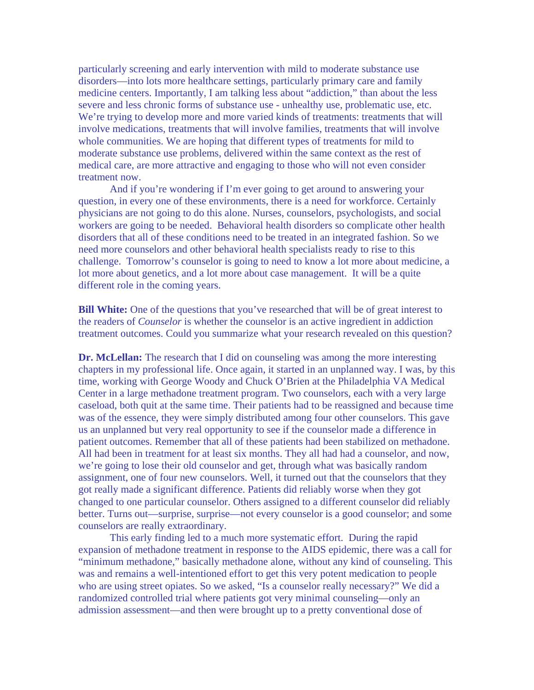particularly screening and early intervention with mild to moderate substance use disorders—into lots more healthcare settings, particularly primary care and family medicine centers. Importantly, I am talking less about "addiction," than about the less severe and less chronic forms of substance use - unhealthy use, problematic use, etc. We're trying to develop more and more varied kinds of treatments: treatments that will involve medications, treatments that will involve families, treatments that will involve whole communities. We are hoping that different types of treatments for mild to moderate substance use problems, delivered within the same context as the rest of medical care, are more attractive and engaging to those who will not even consider treatment now.

And if you're wondering if I'm ever going to get around to answering your question, in every one of these environments, there is a need for workforce. Certainly physicians are not going to do this alone. Nurses, counselors, psychologists, and social workers are going to be needed. Behavioral health disorders so complicate other health disorders that all of these conditions need to be treated in an integrated fashion. So we need more counselors and other behavioral health specialists ready to rise to this challenge. Tomorrow's counselor is going to need to know a lot more about medicine, a lot more about genetics, and a lot more about case management. It will be a quite different role in the coming years.

**Bill White:** One of the questions that you've researched that will be of great interest to the readers of *Counselor* is whether the counselor is an active ingredient in addiction treatment outcomes. Could you summarize what your research revealed on this question?

**Dr. McLellan:** The research that I did on counseling was among the more interesting chapters in my professional life. Once again, it started in an unplanned way. I was, by this time, working with George Woody and Chuck O'Brien at the Philadelphia VA Medical Center in a large methadone treatment program. Two counselors, each with a very large caseload, both quit at the same time. Their patients had to be reassigned and because time was of the essence, they were simply distributed among four other counselors. This gave us an unplanned but very real opportunity to see if the counselor made a difference in patient outcomes. Remember that all of these patients had been stabilized on methadone. All had been in treatment for at least six months. They all had had a counselor, and now, we're going to lose their old counselor and get, through what was basically random assignment, one of four new counselors. Well, it turned out that the counselors that they got really made a significant difference. Patients did reliably worse when they got changed to one particular counselor. Others assigned to a different counselor did reliably better. Turns out—surprise, surprise—not every counselor is a good counselor; and some counselors are really extraordinary.

 This early finding led to a much more systematic effort. During the rapid expansion of methadone treatment in response to the AIDS epidemic, there was a call for "minimum methadone," basically methadone alone, without any kind of counseling. This was and remains a well-intentioned effort to get this very potent medication to people who are using street opiates. So we asked, "Is a counselor really necessary?" We did a randomized controlled trial where patients got very minimal counseling—only an admission assessment—and then were brought up to a pretty conventional dose of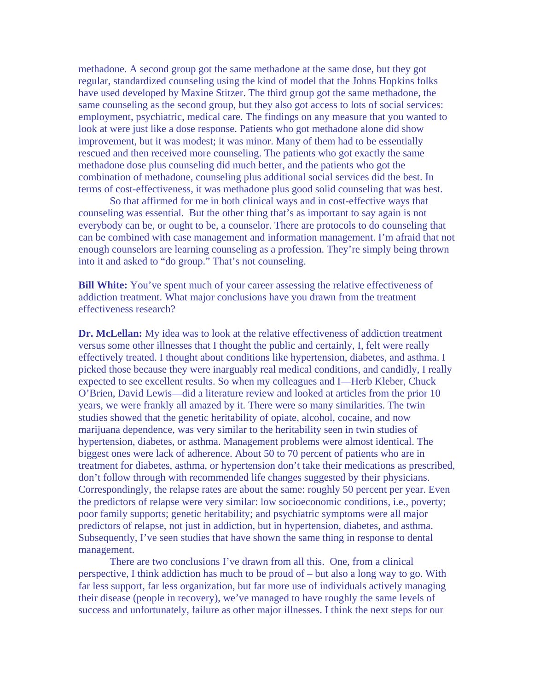methadone. A second group got the same methadone at the same dose, but they got regular, standardized counseling using the kind of model that the Johns Hopkins folks have used developed by Maxine Stitzer. The third group got the same methadone, the same counseling as the second group, but they also got access to lots of social services: employment, psychiatric, medical care. The findings on any measure that you wanted to look at were just like a dose response. Patients who got methadone alone did show improvement, but it was modest; it was minor. Many of them had to be essentially rescued and then received more counseling. The patients who got exactly the same methadone dose plus counseling did much better, and the patients who got the combination of methadone, counseling plus additional social services did the best. In terms of cost-effectiveness, it was methadone plus good solid counseling that was best.

So that affirmed for me in both clinical ways and in cost-effective ways that counseling was essential. But the other thing that's as important to say again is not everybody can be, or ought to be, a counselor. There are protocols to do counseling that can be combined with case management and information management. I'm afraid that not enough counselors are learning counseling as a profession. They're simply being thrown into it and asked to "do group." That's not counseling.

**Bill White:** You've spent much of your career assessing the relative effectiveness of addiction treatment. What major conclusions have you drawn from the treatment effectiveness research?

**Dr. McLellan:** My idea was to look at the relative effectiveness of addiction treatment versus some other illnesses that I thought the public and certainly, I, felt were really effectively treated. I thought about conditions like hypertension, diabetes, and asthma. I picked those because they were inarguably real medical conditions, and candidly, I really expected to see excellent results. So when my colleagues and I—Herb Kleber, Chuck O'Brien, David Lewis—did a literature review and looked at articles from the prior 10 years, we were frankly all amazed by it. There were so many similarities. The twin studies showed that the genetic heritability of opiate, alcohol, cocaine, and now marijuana dependence, was very similar to the heritability seen in twin studies of hypertension, diabetes, or asthma. Management problems were almost identical. The biggest ones were lack of adherence. About 50 to 70 percent of patients who are in treatment for diabetes, asthma, or hypertension don't take their medications as prescribed, don't follow through with recommended life changes suggested by their physicians. Correspondingly, the relapse rates are about the same: roughly 50 percent per year. Even the predictors of relapse were very similar: low socioeconomic conditions, i.e., poverty; poor family supports; genetic heritability; and psychiatric symptoms were all major predictors of relapse, not just in addiction, but in hypertension, diabetes, and asthma. Subsequently, I've seen studies that have shown the same thing in response to dental management.

 There are two conclusions I've drawn from all this. One, from a clinical perspective, I think addiction has much to be proud of – but also a long way to go. With far less support, far less organization, but far more use of individuals actively managing their disease (people in recovery), we've managed to have roughly the same levels of success and unfortunately, failure as other major illnesses. I think the next steps for our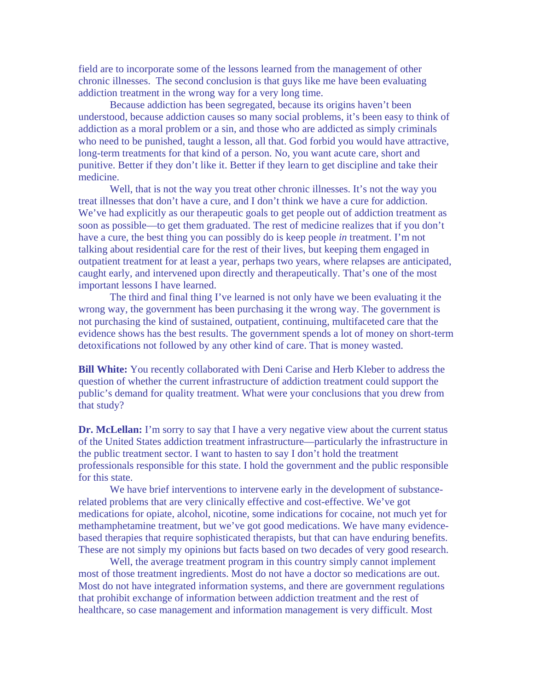field are to incorporate some of the lessons learned from the management of other chronic illnesses. The second conclusion is that guys like me have been evaluating addiction treatment in the wrong way for a very long time.

 Because addiction has been segregated, because its origins haven't been understood, because addiction causes so many social problems, it's been easy to think of addiction as a moral problem or a sin, and those who are addicted as simply criminals who need to be punished, taught a lesson, all that. God forbid you would have attractive, long-term treatments for that kind of a person. No, you want acute care, short and punitive. Better if they don't like it. Better if they learn to get discipline and take their medicine.

Well, that is not the way you treat other chronic illnesses. It's not the way you treat illnesses that don't have a cure, and I don't think we have a cure for addiction. We've had explicitly as our therapeutic goals to get people out of addiction treatment as soon as possible—to get them graduated. The rest of medicine realizes that if you don't have a cure, the best thing you can possibly do is keep people *in* treatment. I'm not talking about residential care for the rest of their lives, but keeping them engaged in outpatient treatment for at least a year, perhaps two years, where relapses are anticipated, caught early, and intervened upon directly and therapeutically. That's one of the most important lessons I have learned.

The third and final thing I've learned is not only have we been evaluating it the wrong way, the government has been purchasing it the wrong way. The government is not purchasing the kind of sustained, outpatient, continuing, multifaceted care that the evidence shows has the best results. The government spends a lot of money on short-term detoxifications not followed by any other kind of care. That is money wasted.

**Bill White:** You recently collaborated with Deni Carise and Herb Kleber to address the question of whether the current infrastructure of addiction treatment could support the public's demand for quality treatment. What were your conclusions that you drew from that study?

**Dr. McLellan:** I'm sorry to say that I have a very negative view about the current status of the United States addiction treatment infrastructure—particularly the infrastructure in the public treatment sector. I want to hasten to say I don't hold the treatment professionals responsible for this state. I hold the government and the public responsible for this state.

 We have brief interventions to intervene early in the development of substancerelated problems that are very clinically effective and cost-effective. We've got medications for opiate, alcohol, nicotine, some indications for cocaine, not much yet for methamphetamine treatment, but we've got good medications. We have many evidencebased therapies that require sophisticated therapists, but that can have enduring benefits. These are not simply my opinions but facts based on two decades of very good research.

Well, the average treatment program in this country simply cannot implement most of those treatment ingredients. Most do not have a doctor so medications are out. Most do not have integrated information systems, and there are government regulations that prohibit exchange of information between addiction treatment and the rest of healthcare, so case management and information management is very difficult. Most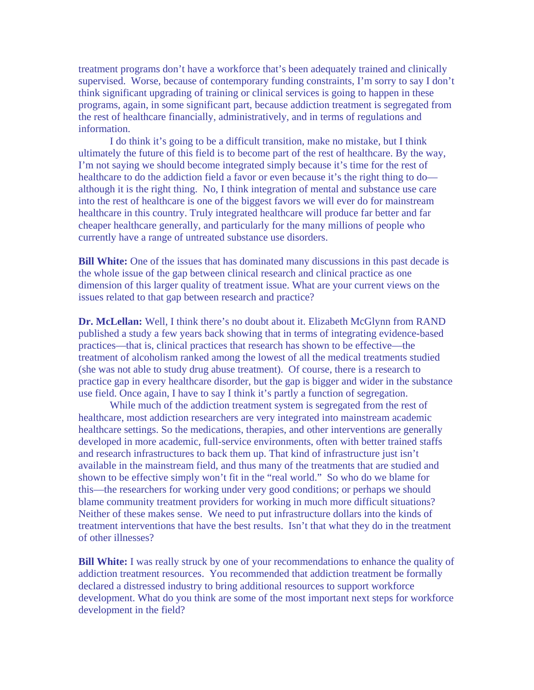treatment programs don't have a workforce that's been adequately trained and clinically supervised. Worse, because of contemporary funding constraints, I'm sorry to say I don't think significant upgrading of training or clinical services is going to happen in these programs, again, in some significant part, because addiction treatment is segregated from the rest of healthcare financially, administratively, and in terms of regulations and information.

I do think it's going to be a difficult transition, make no mistake, but I think ultimately the future of this field is to become part of the rest of healthcare. By the way, I'm not saying we should become integrated simply because it's time for the rest of healthcare to do the addiction field a favor or even because it's the right thing to do although it is the right thing. No, I think integration of mental and substance use care into the rest of healthcare is one of the biggest favors we will ever do for mainstream healthcare in this country. Truly integrated healthcare will produce far better and far cheaper healthcare generally, and particularly for the many millions of people who currently have a range of untreated substance use disorders.

**Bill White:** One of the issues that has dominated many discussions in this past decade is the whole issue of the gap between clinical research and clinical practice as one dimension of this larger quality of treatment issue. What are your current views on the issues related to that gap between research and practice?

**Dr. McLellan:** Well, I think there's no doubt about it. Elizabeth McGlynn from RAND published a study a few years back showing that in terms of integrating evidence-based practices—that is, clinical practices that research has shown to be effective—the treatment of alcoholism ranked among the lowest of all the medical treatments studied (she was not able to study drug abuse treatment). Of course, there is a research to practice gap in every healthcare disorder, but the gap is bigger and wider in the substance use field. Once again, I have to say I think it's partly a function of segregation.

While much of the addiction treatment system is segregated from the rest of healthcare, most addiction researchers are very integrated into mainstream academic healthcare settings. So the medications, therapies, and other interventions are generally developed in more academic, full-service environments, often with better trained staffs and research infrastructures to back them up. That kind of infrastructure just isn't available in the mainstream field, and thus many of the treatments that are studied and shown to be effective simply won't fit in the "real world." So who do we blame for this—the researchers for working under very good conditions; or perhaps we should blame community treatment providers for working in much more difficult situations? Neither of these makes sense. We need to put infrastructure dollars into the kinds of treatment interventions that have the best results. Isn't that what they do in the treatment of other illnesses?

**Bill White:** I was really struck by one of your recommendations to enhance the quality of addiction treatment resources. You recommended that addiction treatment be formally declared a distressed industry to bring additional resources to support workforce development. What do you think are some of the most important next steps for workforce development in the field?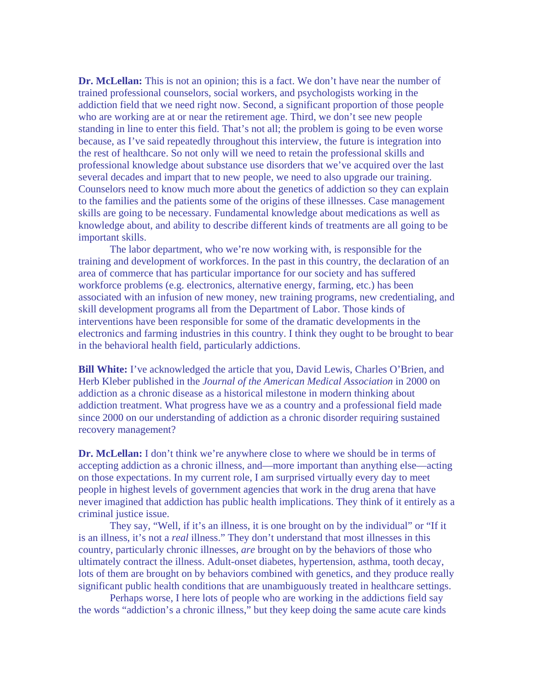**Dr. McLellan:** This is not an opinion; this is a fact. We don't have near the number of trained professional counselors, social workers, and psychologists working in the addiction field that we need right now. Second, a significant proportion of those people who are working are at or near the retirement age. Third, we don't see new people standing in line to enter this field. That's not all; the problem is going to be even worse because, as I've said repeatedly throughout this interview, the future is integration into the rest of healthcare. So not only will we need to retain the professional skills and professional knowledge about substance use disorders that we've acquired over the last several decades and impart that to new people, we need to also upgrade our training. Counselors need to know much more about the genetics of addiction so they can explain to the families and the patients some of the origins of these illnesses. Case management skills are going to be necessary. Fundamental knowledge about medications as well as knowledge about, and ability to describe different kinds of treatments are all going to be important skills.

 The labor department, who we're now working with, is responsible for the training and development of workforces. In the past in this country, the declaration of an area of commerce that has particular importance for our society and has suffered workforce problems (e.g. electronics, alternative energy, farming, etc.) has been associated with an infusion of new money, new training programs, new credentialing, and skill development programs all from the Department of Labor. Those kinds of interventions have been responsible for some of the dramatic developments in the electronics and farming industries in this country. I think they ought to be brought to bear in the behavioral health field, particularly addictions.

**Bill White:** I've acknowledged the article that you, David Lewis, Charles O'Brien, and Herb Kleber published in the *Journal of the American Medical Association* in 2000 on addiction as a chronic disease as a historical milestone in modern thinking about addiction treatment. What progress have we as a country and a professional field made since 2000 on our understanding of addiction as a chronic disorder requiring sustained recovery management?

**Dr. McLellan:** I don't think we're anywhere close to where we should be in terms of accepting addiction as a chronic illness, and—more important than anything else—acting on those expectations. In my current role, I am surprised virtually every day to meet people in highest levels of government agencies that work in the drug arena that have never imagined that addiction has public health implications. They think of it entirely as a criminal justice issue.

 They say, "Well, if it's an illness, it is one brought on by the individual" or "If it is an illness, it's not a *real* illness." They don't understand that most illnesses in this country, particularly chronic illnesses, *are* brought on by the behaviors of those who ultimately contract the illness. Adult-onset diabetes, hypertension, asthma, tooth decay, lots of them are brought on by behaviors combined with genetics, and they produce really significant public health conditions that are unambiguously treated in healthcare settings.

Perhaps worse, I here lots of people who are working in the addictions field say the words "addiction's a chronic illness," but they keep doing the same acute care kinds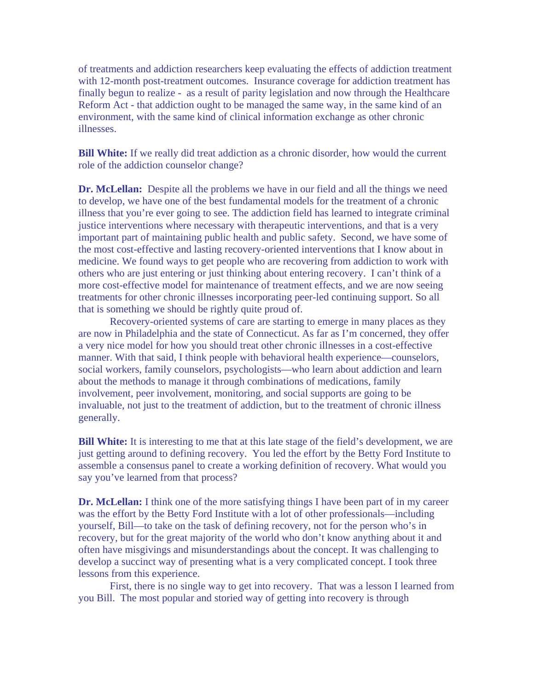of treatments and addiction researchers keep evaluating the effects of addiction treatment with 12-month post-treatment outcomes. Insurance coverage for addiction treatment has finally begun to realize - as a result of parity legislation and now through the Healthcare Reform Act - that addiction ought to be managed the same way, in the same kind of an environment, with the same kind of clinical information exchange as other chronic illnesses.

**Bill White:** If we really did treat addiction as a chronic disorder, how would the current role of the addiction counselor change?

**Dr. McLellan:** Despite all the problems we have in our field and all the things we need to develop, we have one of the best fundamental models for the treatment of a chronic illness that you're ever going to see. The addiction field has learned to integrate criminal justice interventions where necessary with therapeutic interventions, and that is a very important part of maintaining public health and public safety. Second, we have some of the most cost-effective and lasting recovery-oriented interventions that I know about in medicine. We found ways to get people who are recovering from addiction to work with others who are just entering or just thinking about entering recovery. I can't think of a more cost-effective model for maintenance of treatment effects, and we are now seeing treatments for other chronic illnesses incorporating peer-led continuing support. So all that is something we should be rightly quite proud of.

 Recovery-oriented systems of care are starting to emerge in many places as they are now in Philadelphia and the state of Connecticut. As far as I'm concerned, they offer a very nice model for how you should treat other chronic illnesses in a cost-effective manner. With that said, I think people with behavioral health experience—counselors, social workers, family counselors, psychologists—who learn about addiction and learn about the methods to manage it through combinations of medications, family involvement, peer involvement, monitoring, and social supports are going to be invaluable, not just to the treatment of addiction, but to the treatment of chronic illness generally.

**Bill White:** It is interesting to me that at this late stage of the field's development, we are just getting around to defining recovery. You led the effort by the Betty Ford Institute to assemble a consensus panel to create a working definition of recovery. What would you say you've learned from that process?

**Dr. McLellan:** I think one of the more satisfying things I have been part of in my career was the effort by the Betty Ford Institute with a lot of other professionals—including yourself, Bill—to take on the task of defining recovery, not for the person who's in recovery, but for the great majority of the world who don't know anything about it and often have misgivings and misunderstandings about the concept. It was challenging to develop a succinct way of presenting what is a very complicated concept. I took three lessons from this experience.

First, there is no single way to get into recovery. That was a lesson I learned from you Bill. The most popular and storied way of getting into recovery is through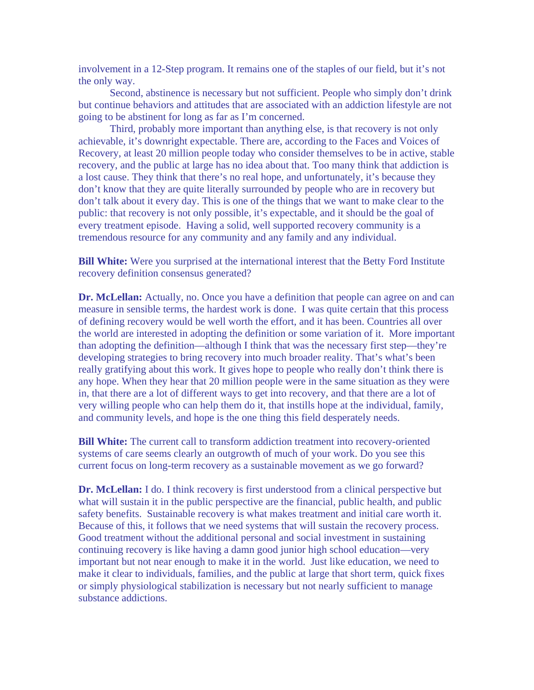involvement in a 12-Step program. It remains one of the staples of our field, but it's not the only way.

Second, abstinence is necessary but not sufficient. People who simply don't drink but continue behaviors and attitudes that are associated with an addiction lifestyle are not going to be abstinent for long as far as I'm concerned.

Third, probably more important than anything else, is that recovery is not only achievable, it's downright expectable. There are, according to the Faces and Voices of Recovery, at least 20 million people today who consider themselves to be in active, stable recovery, and the public at large has no idea about that. Too many think that addiction is a lost cause. They think that there's no real hope, and unfortunately, it's because they don't know that they are quite literally surrounded by people who are in recovery but don't talk about it every day. This is one of the things that we want to make clear to the public: that recovery is not only possible, it's expectable, and it should be the goal of every treatment episode. Having a solid, well supported recovery community is a tremendous resource for any community and any family and any individual.

**Bill White:** Were you surprised at the international interest that the Betty Ford Institute recovery definition consensus generated?

**Dr. McLellan:** Actually, no. Once you have a definition that people can agree on and can measure in sensible terms, the hardest work is done. I was quite certain that this process of defining recovery would be well worth the effort, and it has been. Countries all over the world are interested in adopting the definition or some variation of it. More important than adopting the definition—although I think that was the necessary first step—they're developing strategies to bring recovery into much broader reality. That's what's been really gratifying about this work. It gives hope to people who really don't think there is any hope. When they hear that 20 million people were in the same situation as they were in, that there are a lot of different ways to get into recovery, and that there are a lot of very willing people who can help them do it, that instills hope at the individual, family, and community levels, and hope is the one thing this field desperately needs.

**Bill White:** The current call to transform addiction treatment into recovery-oriented systems of care seems clearly an outgrowth of much of your work. Do you see this current focus on long-term recovery as a sustainable movement as we go forward?

**Dr. McLellan:** I do. I think recovery is first understood from a clinical perspective but what will sustain it in the public perspective are the financial, public health, and public safety benefits. Sustainable recovery is what makes treatment and initial care worth it. Because of this, it follows that we need systems that will sustain the recovery process. Good treatment without the additional personal and social investment in sustaining continuing recovery is like having a damn good junior high school education—very important but not near enough to make it in the world. Just like education, we need to make it clear to individuals, families, and the public at large that short term, quick fixes or simply physiological stabilization is necessary but not nearly sufficient to manage substance addictions.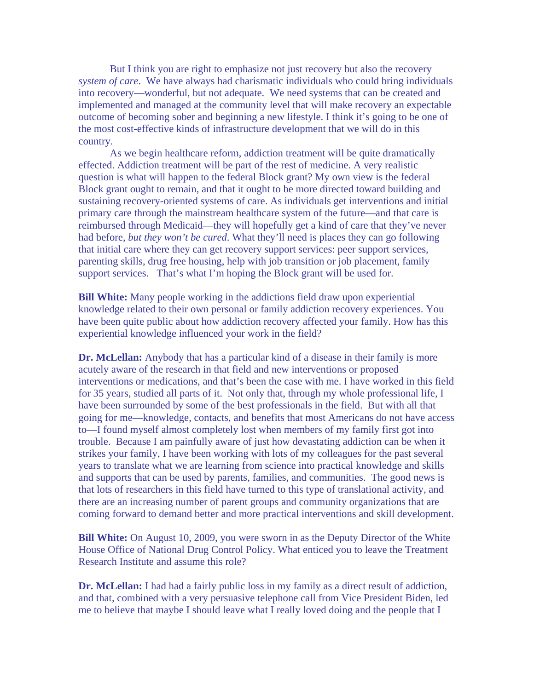But I think you are right to emphasize not just recovery but also the recovery *system of care*. We have always had charismatic individuals who could bring individuals into recovery—wonderful, but not adequate. We need systems that can be created and implemented and managed at the community level that will make recovery an expectable outcome of becoming sober and beginning a new lifestyle. I think it's going to be one of the most cost-effective kinds of infrastructure development that we will do in this country.

 As we begin healthcare reform, addiction treatment will be quite dramatically effected. Addiction treatment will be part of the rest of medicine. A very realistic question is what will happen to the federal Block grant? My own view is the federal Block grant ought to remain, and that it ought to be more directed toward building and sustaining recovery-oriented systems of care. As individuals get interventions and initial primary care through the mainstream healthcare system of the future—and that care is reimbursed through Medicaid—they will hopefully get a kind of care that they've never had before, *but they won't be cured*. What they'll need is places they can go following that initial care where they can get recovery support services: peer support services, parenting skills, drug free housing, help with job transition or job placement, family support services. That's what I'm hoping the Block grant will be used for.

**Bill White:** Many people working in the addictions field draw upon experiential knowledge related to their own personal or family addiction recovery experiences. You have been quite public about how addiction recovery affected your family. How has this experiential knowledge influenced your work in the field?

**Dr. McLellan:** Anybody that has a particular kind of a disease in their family is more acutely aware of the research in that field and new interventions or proposed interventions or medications, and that's been the case with me. I have worked in this field for 35 years, studied all parts of it. Not only that, through my whole professional life, I have been surrounded by some of the best professionals in the field. But with all that going for me—knowledge, contacts, and benefits that most Americans do not have access to—I found myself almost completely lost when members of my family first got into trouble. Because I am painfully aware of just how devastating addiction can be when it strikes your family, I have been working with lots of my colleagues for the past several years to translate what we are learning from science into practical knowledge and skills and supports that can be used by parents, families, and communities. The good news is that lots of researchers in this field have turned to this type of translational activity, and there are an increasing number of parent groups and community organizations that are coming forward to demand better and more practical interventions and skill development.

**Bill White:** On August 10, 2009, you were sworn in as the Deputy Director of the White House Office of National Drug Control Policy. What enticed you to leave the Treatment Research Institute and assume this role?

**Dr. McLellan:** I had had a fairly public loss in my family as a direct result of addiction, and that, combined with a very persuasive telephone call from Vice President Biden, led me to believe that maybe I should leave what I really loved doing and the people that I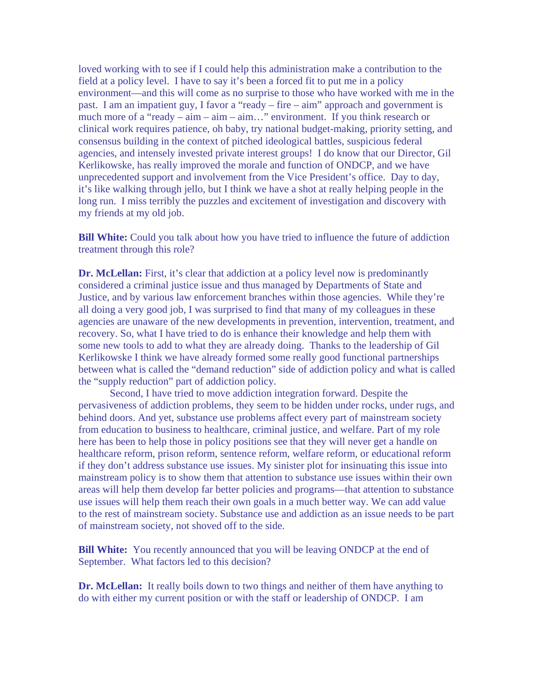loved working with to see if I could help this administration make a contribution to the field at a policy level. I have to say it's been a forced fit to put me in a policy environment—and this will come as no surprise to those who have worked with me in the past. I am an impatient guy, I favor a "ready – fire – aim" approach and government is much more of a "ready – aim – aim – aim…" environment. If you think research or clinical work requires patience, oh baby, try national budget-making, priority setting, and consensus building in the context of pitched ideological battles, suspicious federal agencies, and intensely invested private interest groups! I do know that our Director, Gil Kerlikowske, has really improved the morale and function of ONDCP, and we have unprecedented support and involvement from the Vice President's office. Day to day, it's like walking through jello, but I think we have a shot at really helping people in the long run. I miss terribly the puzzles and excitement of investigation and discovery with my friends at my old job.

**Bill White:** Could you talk about how you have tried to influence the future of addiction treatment through this role?

**Dr. McLellan:** First, it's clear that addiction at a policy level now is predominantly considered a criminal justice issue and thus managed by Departments of State and Justice, and by various law enforcement branches within those agencies. While they're all doing a very good job, I was surprised to find that many of my colleagues in these agencies are unaware of the new developments in prevention, intervention, treatment, and recovery. So, what I have tried to do is enhance their knowledge and help them with some new tools to add to what they are already doing. Thanks to the leadership of Gil Kerlikowske I think we have already formed some really good functional partnerships between what is called the "demand reduction" side of addiction policy and what is called the "supply reduction" part of addiction policy.

Second, I have tried to move addiction integration forward. Despite the pervasiveness of addiction problems, they seem to be hidden under rocks, under rugs, and behind doors. And yet, substance use problems affect every part of mainstream society from education to business to healthcare, criminal justice, and welfare. Part of my role here has been to help those in policy positions see that they will never get a handle on healthcare reform, prison reform, sentence reform, welfare reform, or educational reform if they don't address substance use issues. My sinister plot for insinuating this issue into mainstream policy is to show them that attention to substance use issues within their own areas will help them develop far better policies and programs—that attention to substance use issues will help them reach their own goals in a much better way. We can add value to the rest of mainstream society. Substance use and addiction as an issue needs to be part of mainstream society, not shoved off to the side.

**Bill White:** You recently announced that you will be leaving ONDCP at the end of September. What factors led to this decision?

**Dr. McLellan:** It really boils down to two things and neither of them have anything to do with either my current position or with the staff or leadership of ONDCP. I am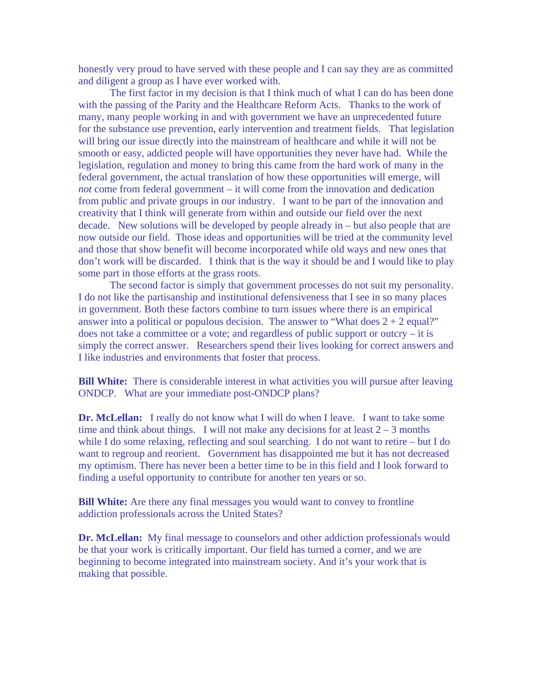honestly very proud to have served with these people and I can say they are as committed and diligent a group as I have ever worked with.

The first factor in my decision is that I think much of what I can do has been done with the passing of the Parity and the Healthcare Reform Acts. Thanks to the work of many, many people working in and with government we have an unprecedented future for the substance use prevention, early intervention and treatment fields. That legislation will bring our issue directly into the mainstream of healthcare and while it will not be smooth or easy, addicted people will have opportunities they never have had. While the legislation, regulation and money to bring this came from the hard work of many in the federal government, the actual translation of how these opportunities will emerge, will *not* come from federal government – it will come from the innovation and dedication from public and private groups in our industry. I want to be part of the innovation and creativity that I think will generate from within and outside our field over the next decade. New solutions will be developed by people already in – but also people that are now outside our field. Those ideas and opportunities will be tried at the community level and those that show benefit will become incorporated while old ways and new ones that don't work will be discarded. I think that is the way it should be and I would like to play some part in those efforts at the grass roots.

The second factor is simply that government processes do not suit my personality. I do not like the partisanship and institutional defensiveness that I see in so many places in government. Both these factors combine to turn issues where there is an empirical answer into a political or populous decision. The answer to "What does  $2 + 2$  equal?" does not take a committee or a vote; and regardless of public support or outcry – it is simply the correct answer. Researchers spend their lives looking for correct answers and I like industries and environments that foster that process.

**Bill White:** There is considerable interest in what activities you will pursue after leaving ONDCP. What are your immediate post-ONDCP plans?

**Dr. McLellan:** I really do not know what I will do when I leave. I want to take some time and think about things. I will not make any decisions for at least  $2 - 3$  months while I do some relaxing, reflecting and soul searching. I do not want to retire – but I do want to regroup and reorient. Government has disappointed me but it has not decreased my optimism. There has never been a better time to be in this field and I look forward to finding a useful opportunity to contribute for another ten years or so.

**Bill White:** Are there any final messages you would want to convey to frontline addiction professionals across the United States?

**Dr. McLellan:** My final message to counselors and other addiction professionals would be that your work is critically important. Our field has turned a corner, and we are beginning to become integrated into mainstream society. And it's your work that is making that possible.